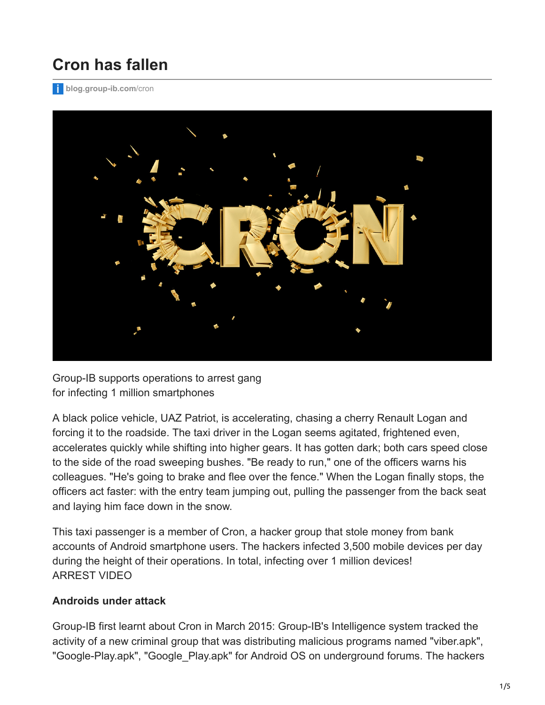## **Cron has fallen**

**[blog.group-ib.com](http://blog.group-ib.com/cron)**/cron



Group-IB supports operations to arrest gang for infecting 1 million smartphones

A black police vehicle, UAZ Patriot, is accelerating, chasing a cherry Renault Logan and forcing it to the roadside. The taxi driver in the Logan seems agitated, frightened even, accelerates quickly while shifting into higher gears. It has gotten dark; both cars speed close to the side of the road sweeping bushes. "Be ready to run," one of the officers warns his colleagues. "He's going to brake and flee over the fence." When the Logan finally stops, the officers act faster: with the entry team jumping out, pulling the passenger from the back seat and laying him face down in the snow.

This taxi passenger is a member of Cron, a hacker group that stole money from bank accounts of Android smartphone users. The hackers infected 3,500 mobile devices per day during the height of their operations. In total, infecting over 1 million devices! ARREST VIDEO

## **Androids under attack**

Group-IB first learnt about Cron in March 2015: Group-IB's Intelligence system tracked the activity of a new criminal group that was distributing malicious programs named "viber.apk", "Google-Play.apk", "Google\_Play.apk" for Android OS on underground forums. The hackers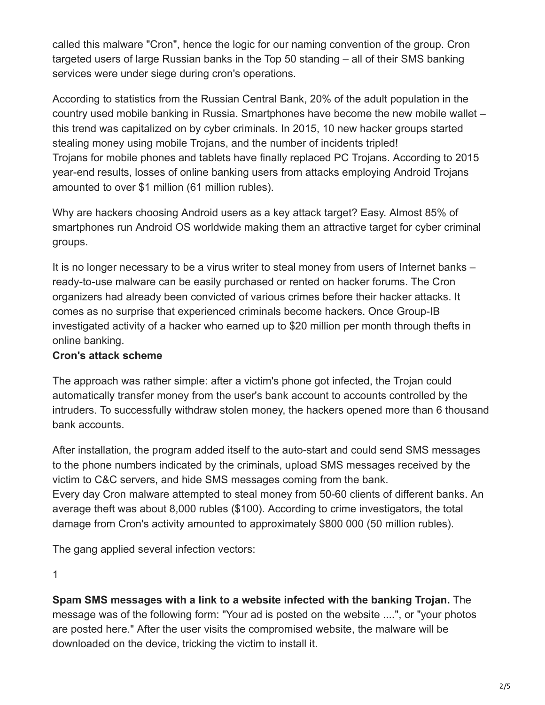called this malware "Cron", hence the logic for our naming convention of the group. Cron targeted users of large Russian banks in the Top 50 standing – all of their SMS banking services were under siege during cron's operations.

According to statistics from the Russian Central Bank, 20% of the adult population in the country used mobile banking in Russia. Smartphones have become the new mobile wallet – this trend was capitalized on by cyber criminals. In 2015, 10 new hacker groups started stealing money using mobile Trojans, and the number of incidents tripled! Trojans for mobile phones and tablets have finally replaced PC Trojans. According to 2015 year-end results, losses of online banking users from attacks employing Android Trojans amounted to over \$1 million (61 million rubles).

Why are hackers choosing Android users as a key attack target? Easy. Almost 85% of smartphones run Android OS worldwide making them an attractive target for cyber criminal groups.

It is no longer necessary to be a virus writer to steal money from users of Internet banks – ready-to-use malware can be easily purchased or rented on hacker forums. The Cron organizers had already been convicted of various crimes before their hacker attacks. It comes as no surprise that experienced criminals become hackers. Once Group-IB investigated activity of a hacker who earned up to \$20 million per month through thefts in online banking.

## **Cron's attack scheme**

The approach was rather simple: after a victim's phone got infected, the Trojan could automatically transfer money from the user's bank account to accounts controlled by the intruders. To successfully withdraw stolen money, the hackers opened more than 6 thousand bank accounts.

After installation, the program added itself to the auto-start and could send SMS messages to the phone numbers indicated by the criminals, upload SMS messages received by the victim to C&C servers, and hide SMS messages coming from the bank. Every day Cron malware attempted to steal money from 50-60 clients of different banks. An average theft was about 8,000 rubles (\$100). According to crime investigators, the total damage from Cron's activity amounted to approximately \$800 000 (50 million rubles).

The gang applied several infection vectors:

1

**Spam SMS messages with a link to a website infected with the banking Trojan.** The message was of the following form: "Your ad is posted on the website ....", or "your photos are posted here." After the user visits the compromised website, the malware will be downloaded on the device, tricking the victim to install it.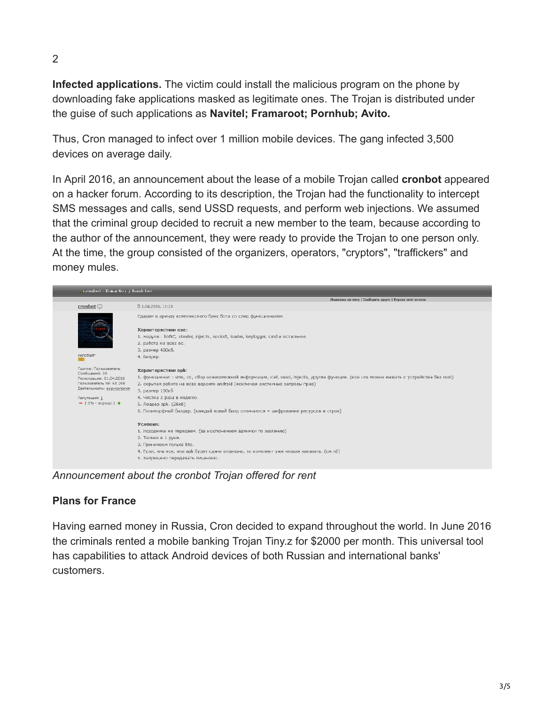2

**Infected applications.** The victim could install the malicious program on the phone by downloading fake applications masked as legitimate ones. The Trojan is distributed under the guise of such applications as **Navitel; Framaroot; Pornhub; Avito.**

Thus, Cron managed to infect over 1 million mobile devices. The gang infected 3,500 devices on average daily.

In April 2016, an announcement about the lease of a mobile Trojan called **cronbot** appeared on a hacker forum. According to its description, the Trojan had the functionality to intercept SMS messages and calls, send USSD requests, and perform web injections. We assumed that the criminal group decided to recruit a new member to the team, because according to the author of the announcement, they were ready to provide the Trojan to one person only. At the time, the group consisted of the organizers, operators, "cryptors", "traffickers" and money mules.



*Announcement about the cronbot Trojan offered for rent*

## **Plans for France**

Having earned money in Russia, Cron decided to expand throughout the world. In June 2016 the criminals rented a mobile banking Trojan Tiny.z for \$2000 per month. This universal tool has capabilities to attack Android devices of both Russian and international banks' customers.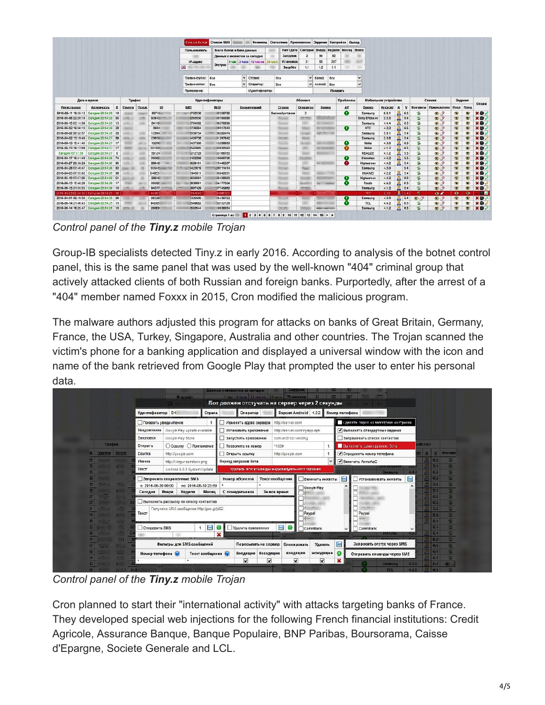|                                            |                                         |         |               |              |              |                                           | <b>CITALOG GOTOR CHINGGH SMS</b> |                          |                                                       |          |                                          |                 |                                   |              | Инжекты Статистика Припожения Задания Настройки Выход |                         |         |              |                          |                |             |                  |                |
|--------------------------------------------|-----------------------------------------|---------|---------------|--------------|--------------|-------------------------------------------|----------------------------------|--------------------------|-------------------------------------------------------|----------|------------------------------------------|-----------------|-----------------------------------|--------------|-------------------------------------------------------|-------------------------|---------|--------------|--------------------------|----------------|-------------|------------------|----------------|
|                                            |                                         |         |               |              |              | Всего ботов в базе данных<br>Пользователь |                                  |                          | Тип \ Дата   Сегодня   Вчера   Кеделя   Месяц   Всего |          |                                          |                 |                                   |              |                                                       |                         |         |              |                          |                |             |                  |                |
|                                            |                                         |         |               |              |              |                                           |                                  |                          | Двеадх с инжектов за сегодня                          |          | Загрузок                                 | $\overline{2}$  | 90                                | 92           |                                                       |                         |         |              |                          |                |             |                  |                |
|                                            |                                         |         |               |              |              | IP-annec                                  |                                  |                          | 1 usc 3 vaca 12 vacos                                 | 24 years | <b>Установок</b>                         | 31              | 65                                | 207          |                                                       | œ                       |         |              |                          |                |             |                  |                |
|                                            |                                         |         |               |              |              | 曝                                         | Отстуки                          |                          |                                                       |          | <b>3arpAcr</b>                           | 1:1             | 12                                | 1:1          |                                                       | <b>SO</b>               |         |              |                          |                |             |                  |                |
|                                            |                                         |         |               |              |              | TOBOILE-FOYDDA:                           | Bce                              | $\vee$                   | Страна:                                               | Bce      |                                          |                 | <b>Бренд:</b>                     | <b>Bce</b>   |                                                       | $\vee$                  |         |              |                          |                |             |                  |                |
|                                            |                                         |         |               |              |              | Трефик-поток:                             | Bce                              | $\overline{\phantom{a}}$ | Oneparop:                                             | Bce      |                                          |                 | Android: Bce                      |              |                                                       | $\overline{\mathbf{v}}$ |         |              |                          |                |             |                  |                |
|                                            |                                         |         |               |              |              | Покложение:                               |                                  |                          | Идентификатор                                         |          |                                          |                 |                                   | Показать     |                                                       |                         |         |              |                          |                |             |                  |                |
|                                            |                                         |         |               |              |              |                                           |                                  |                          |                                                       |          |                                          |                 |                                   |              |                                                       |                         |         |              |                          |                |             |                  |                |
| Дата и время                               |                                         |         | Трафик        |              |              | Идентификаторы                            |                                  |                          | Абонент                                               |          |                                          |                 |                                   | Проблемы     |                                                       | Мобильное устройство    |         |              | Списки                   |                |             | Onuss            |                |
| Регистрация                                | АКТИВНОСТЬ                              | Д       | <b>Covnna</b> | <b>DOTOS</b> | LD           | <b>IMEL</b>                               | <b>MSI</b>                       |                          | Комментарий                                           |          | Страна                                   | Oneparop        | Howep                             |              | <b>AV</b>                                             | Бренд                   | Android | $\mathbf{a}$ | Контакты<br>$\mathbf{v}$ | Приложения     |             | Посл Пред        |                |
| 2016-06-11 19:55:12 Сагодня 20:54:29 19    |                                         |         |               | <b>STORY</b> | <b>GOF15</b> | 1702538                                   | 12159782                         |                          |                                                       |          | Валикобритания                           | $\mathbf{a}$    |                                   |              | $\bullet$                                             | Samsung                 | 6.0.1   | 基            | 6.5<br>е                 | $\bullet$      | $\bullet$   | $\bullet$        | $*$            |
| 2016-05-05 22:20:18 Сегодня 20:54:28 55    |                                         |         |               |              | 808421       | 1293530                                   | 00700080                         |                          |                                                       |          | <b>MARKET</b>                            | <b>SECTION</b>  |                                   |              |                                                       | Sony Ericsson           | 2.3.3   | 基            | ÷<br>5.4                 | $\mathcal{D}$  | $\bullet$   | $\bullet$        | $x0$ .         |
| 2016-06-15 03:14:58 Cerpann 20:54:28       |                                         | 15      |               |              | 84119        | 1764592                                   | -16378909                        |                          |                                                       |          |                                          |                 | <b>KIND OF BUILDING</b>           |              |                                                       | Saraung                 | 4.4.4   | $B = 6.5$    | 喘                        | $\mathcal{D}$  | $\oplus$    | $\oplus$         | $x \odot$      |
| 2016-06-02 16:56:10 Сегодня 20:54:28 28    |                                         |         |               |              | 0904         | 1739284                                   | 00017043                         |                          |                                                       |          | <b>ELANDIA</b>                           |                 | <b>SERVICE</b>                    |              | $\bullet$                                             | HTC                     | 4.2.2   | 昌 6.5        | 耍                        | $\mathcal{D}$  | $\bullet$   | $\sum$           | $X0$ .         |
| 2016-06-02 20:52:57 Сегодня 20:54:28 25    |                                         |         |               |              | 10994        | 1558734                                   | 79282474                         |                          |                                                       |          | tores                                    | mate            | an missing                        |              |                                                       | Sarsung                 | 5.0.1   | 思 5.4        | ÷                        | $\mathbf{D}$   | $\bullet$   | $\blacksquare$   | $*0$ .         |
| 2016-04-02 13:19:49 Corpora 20:54:27 69    |                                         |         |               | <b>HALL</b>  | C0659        | 1400736                                   | 01297642                         |                          |                                                       |          | <b>Normal</b>                            | <b>Killedge</b> |                                   |              |                                                       | Sarsung                 | 2.3.6   | 5.4          | 垒                        | $\mathcal{D}$  | $\bigcirc$  | $\oplus$         | $x \otimes y$  |
| 2016-06-13 15:41:40 Cerogan 20:54:27 17    |                                         |         |               | <b>ANT</b>   | 102F6        | 1437306                                   | 13299903                         |                          |                                                       |          | <b>Since</b>                             | <b>NORTH</b>    | <b>KISCO WAS ARRESTED</b>         |              |                                                       | Nokia                   | 4.3.0   | ж            | 锰<br>6.5                 | $\mathcal{D}$  | $\bullet$   | $\bullet$        | $X + I$        |
| 2016-06-13 16:12:09 Cerogus 20:54:27       |                                         | 17      |               | 550          | E81500       | <b>ISB2065</b>                            | 30930560                         |                          |                                                       |          |                                          | 1974            | <b>SECTION</b>                    |              | o                                                     | Nokia                   | 4.1.2   | 뵤            | 忆<br>6.5                 | $\bullet$      | $\bullet$   | $\circ$          | X <sub>0</sub> |
| Cercure 07:31:39                           | Сегодня 20:54:27                        | $\circ$ |               |              | 58124        | 212729                                    | 23166783                         |                          |                                                       |          | نتضب                                     |                 | <b>KIRCHWICH</b>                  |              |                                                       | <b>REALIZE</b>          | 4.1.2   | <b>昆</b> 5.5 | 로                        | $\mathcal{D}$  | $\bigoplus$ | $\oplus$         | $x \otimes y$  |
| 2016-04-17 16:41:49 Cerones 20:54:26 74    |                                         |         |               |              | 00082        | 1162256                                   | 16660706                         |                          |                                                       |          | <b>Georgi</b>                            |                 |                                   |              | Ø                                                     | <b>Hicromax</b>         | 4.4.2   | <b>M</b> 5.5 | 慍                        | $\mathcal{D}$  | $\circ$     | $\bullet$        | <b>XO</b>      |
| 2016-03-27 20:38:28 Carogen 20:54:26 DS    |                                         |         |               |              | BS640        | 1629101                                   | 15446307                         |                          |                                                       |          | <b><i><u>Sichner</u></i></b><br>$\cdots$ |                 | No. College Party L.              |              | $\bullet$                                             | <b>Highscreen</b>       | 4.4.2   | 昌            | z<br>5.4                 | $\mathcal{D}$  | $\bullet$   | $\sum$           | $x \omega$ .   |
| 2016-04-26 07:40:47 Сегодня 20:54:26 53    |                                         |         |               |              | SC0AS!       | 1423019                                   | 00711414                         |                          |                                                       |          | <b>Homes</b>                             | <b>Rend</b>     |                                   |              |                                                       | Sarsung                 | 4.3.0   |              | ÷.<br>5.6                | $\mathcal{D}$  | $\circ$     | $\blacksquare$   | x <sub>0</sub> |
| 2016-04-03 07:55:02 Сегодня 20:54:26 68    |                                         |         |               |              | D46E51       | 1946811                                   | 30042031                         |                          |                                                       |          | <b>Score</b>                             | $\frac{1}{2}$   | <b>Signalist</b>                  | <b>START</b> |                                                       | <b>HUAWEI</b>           | 4.2.2   | 5.4          | 岳                        | $\bigcirc$     | $\bullet$   | $\oplus$         | $x \oplus$     |
| 2016-05-10 07:57:26 Сегодня 20:54:26 51    |                                         |         |               |              | <b>BBS46</b> | <b>I656591</b>                            | 96438063                         |                          |                                                       |          |                                          |                 |                                   |              | ø                                                     | Highscreen              | 4.4.2   | <b>B</b> 6.0 | 嗑                        | $\bullet$      | $\bullet$   | $\bullet$        | X <sub>0</sub> |
| 2016-06-13 15:40:26 Caronag 20:54:26 17    |                                         |         |               |              | 00082        | 1936601                                   | 134177504                        |                          |                                                       |          | <b>Norway</b>                            | $-200$          | c                                 |              |                                                       | Fexda                   | 4.4.2   | 6.5          | st.                      | $\bullet$      | $\bullet$   | œ                | $*$ $*$        |
| 2016-06-13 21:55:33 Сегодня 20:54:26 18    |                                         |         |               |              | 94D77        | 1997429                                   | 157745662                        |                          |                                                       |          | <b>Chairman</b>                          |                 |                                   |              |                                                       | Samsung                 | 4.1.2   |              | ż<br>5.5                 | $\mathbf{D}$   | $\bullet$   | $\bullet$        | <b>XO</b>      |
| 2010-00-23 02:04:33   Согодня 2014 25   04 |                                         |         |               |              | 40001        | 664943                                    | 01000000                         |                          |                                                       |          |                                          |                 |                                   |              |                                                       | TCT                     | 2.30    | ã.           | ٠<br>54                  | $\overline{O}$ | $\bullet$   | $\ddot{\bullet}$ | <b>THE R</b>   |
| 2016-04-01 06:10:30 Cerogua 20:54:25 00    |                                         |         |               |              | 88329        | 1325505                                   | 05439752                         |                          |                                                       |          | <b>Service State</b>                     |                 | <b>Contract Contract Contract</b> |              |                                                       | Samsung                 | 4.3.0   | 6.4          | $\mathcal{D}$            | $\bigcirc$     | $\bullet$   | $\bullet$        | <b>XBJ</b>     |
| 2015-06-14 21:46:43 Сегодня 20:54:25   15  |                                         |         |               |              | 94D85        | 3549552                                   | (33112129                        |                          |                                                       |          |                                          |                 | <b>City Local</b>                 |              |                                                       | <b>TCL</b>              | 4.4.2   | 息            | ÷<br>6.5                 | $\bullet$      | $\bullet$   | $\bullet$        | $*$ $\circ$    |
|                                            | 2016-06-14 16:25:47 Сегодня 20:54:25 18 |         |               |              | <b>20669</b> | 1593544                                   | 19036054                         |                          |                                                       |          | <b>Kimilianm</b>                         |                 |                                   |              |                                                       | Saraune                 | 4.1.2   | 基            | 忠<br>0.5                 | $\mathcal{D}$  | ÷           | $\bullet$        | X <sub>0</sub> |

*Control panel of the Tiny.z mobile Trojan*

Group-IB specialists detected Tiny.z in early 2016. According to analysis of the botnet control panel, this is the same panel that was used by the well-known "404" criminal group that actively attacked clients of both Russian and foreign banks. Purportedly, after the arrest of a "404" member named Foxxx in 2015, Cron modified the malicious program.

The malware authors adjusted this program for attacks on banks of Great Britain, Germany, France, the USA, Turkey, Singapore, Australia and other countries. The Trojan scanned the victim's phone for a banking application and displayed a universal window with the icon and name of the bank retrieved from Google Play that prompted the user to enter his personal data.

|                 |        |                            | Редово                                   |                     | Данных с мнокестов за овгодня<br>THE 34000 12-1000 24 - 3 VETSHOBOL |                 | <b>Багрузок</b>             |                  | SUR<br>65      | 32<br>207                                                    |               |                 |               |
|-----------------|--------|----------------------------|------------------------------------------|---------------------|---------------------------------------------------------------------|-----------------|-----------------------------|------------------|----------------|--------------------------------------------------------------|---------------|-----------------|---------------|
|                 |        |                            |                                          |                     | Бот должен отстучать на сервер через 2 секунды                      |                 |                             |                  |                |                                                              |               |                 |               |
|                 |        | <b>Идентификатор</b>       | DA                                       | Страна              | Оператор                                                            |                 | <b>Версия Android</b> 4.2.2 |                  | Номер телефона |                                                              |               |                 |               |
|                 |        | Показать уведомление       |                                          |                     | Изменить адрес сервера                                              |                 | http://server.com           |                  |                | Пделять спрос на заводские настройки                         |               |                 |               |
|                 |        | <b>Уведомление</b>         | Google Play update available             |                     | Установить приложение                                               |                 | http://server.com/myapp.apk |                  |                | • Выполнять стандартные задания                              |               |                 |               |
|                 |        | Заголовок                  | Google Play Store                        |                     | Запустить приложение                                                |                 | com.android.vending         |                  |                | Запрашивать слисок контактов                                 |               |                 |               |
|                 | Трафик | <b>Открыть</b>             | ○ Ссылку ○ Припожение                    |                     | Позвонить на номер                                                  |                 | *102#                       |                  |                | Выполнить самоудаление бота                                  | <b>ORCFEO</b> |                 |               |
| Группа Поток    |        | Ссыпка                     | http://google.com                        |                     | Открыть ссылку                                                      |                 | http://google.com           |                  |                | ● Определять номер тепефона                                  |               |                 | <b>Numasa</b> |
|                 |        | <b><i><u>Memna</u></i></b> | http://Limgur.com/icon.png               |                     | Период запросов бота                                                |                 |                             |                  |                | ◆ Включить АнтиАоС                                           |               | 65              |               |
|                 |        | Текст                      | Android 6.0.3 System Update              |                     | Удалить все команды индивидуального задания                         |                 |                             |                  |                | <b>SUINERROOM</b><br><b>Cruit</b><br>$44-$<br><b>Samsung</b> |               |                 |               |
|                 |        |                            | <b>Запросить сохранстиные SMS</b>        |                     | Номер абонента                                                      | Текст сообщения |                             | Включить лижекты | 僵              | ⊟<br>Устанавливать янжекты                                   |               |                 |               |
|                 |        | $= 2016 - 06 - 3000:00$    |                                          | no 2016-06-30 23:59 |                                                                     |                 |                             | Google Play      |                |                                                              |               | 51              |               |
|                 |        | Сегодня                    | Вчера<br>Неделя                          | Месяц               | С понедельника                                                      | За все время    |                             |                  |                |                                                              |               |                 |               |
|                 |        |                            | Выполнить рассылку по списку контактов   |                     |                                                                     |                 |                             |                  |                |                                                              |               |                 |               |
|                 |        | Текст                      | Попучено MMC сообщение http:/goo.gl/jd82 |                     |                                                                     |                 |                             | Paypal           |                | Paypal                                                       |               | 55              |               |
|                 |        |                            |                                          |                     |                                                                     |                 |                             |                  |                |                                                              |               | 55              |               |
|                 |        | OTRPDDITTO SMS             |                                          | 圖                   | Удалить приложения<br>⊕                                             |                 | $\blacksquare$              | CommBank         |                | CommBank                                                     |               |                 |               |
|                 |        |                            |                                          |                     | $\mathbf x$                                                         |                 |                             |                  |                | <b>HUAWEI</b><br><b>Guide</b>                                |               | 54              |               |
| $\overline{17}$ |        |                            | Фильтры для SMS сообщений                |                     | Пересылать на сервер                                                |                 | Блокировать                 | Удалять          | B              | Запросить отстук через SMS                                   |               | 60              |               |
|                 |        |                            |                                          |                     |                                                                     |                 |                             |                  | $\bullet$      |                                                              |               | 65              |               |
|                 |        | Номертелефона (р)          |                                          | Текст сообщения     | Входящие Искодящие<br>$\blacktriangledown$                          | ⊽               | входящие<br>☑               | исходящие<br>▿   |                | Отправить команды через SMS                                  |               | 54              |               |
|                 |        |                            |                                          |                     |                                                                     |                 |                             |                  |                | 4.3.0<br>Saggung                                             |               | 54              |               |
| 15              |        | $-940$                     |                                          |                     |                                                                     |                 |                             |                  |                | 4.4.2<br><b>TCL</b>                                          |               | $\parallel$ 6.5 |               |

*Control panel of the Tiny.z mobile Trojan*

Cron planned to start their "international activity" with attacks targeting banks of France. They developed special web injections for the following French financial institutions: Credit Agricole, Assurance Banque, Banque Populaire, BNP Paribas, Boursorama, Caisse d'Epargne, Societe Generale and LCL.